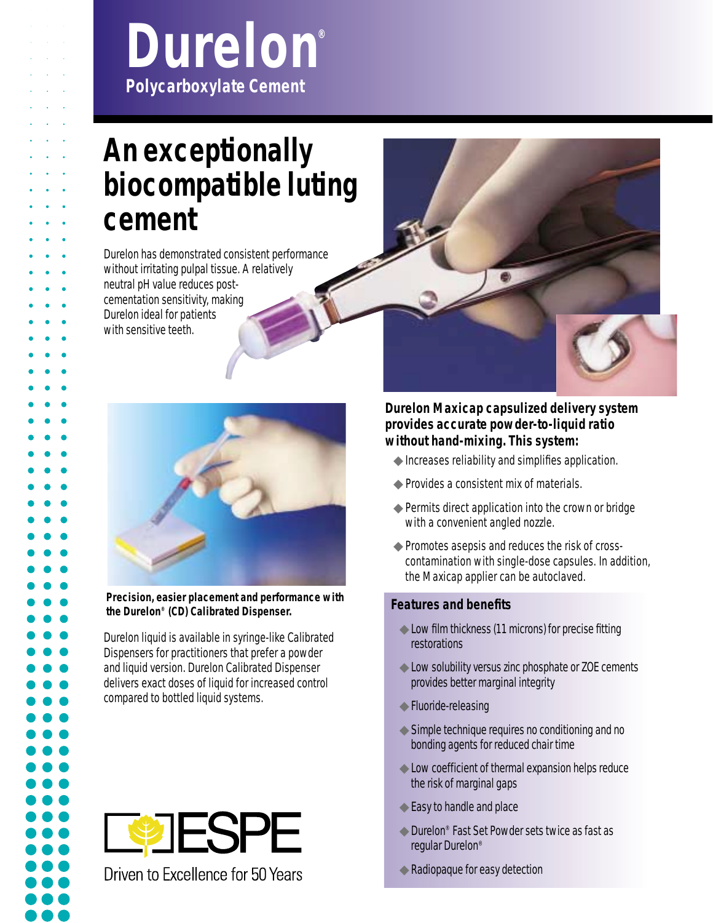# **Durelon®** *Polycarboxylate Cement*

## **An exceptionally biocompatible luting cement**

- Durelon has demonstrated consistent performance
- without irritating pulpal tissue. A relatively
- neutral pH value reduces post-
- cementation sensitivity, making
- Durelon ideal for patients
- with sensitive teeth.



#### **Precision, easier placement and performance with the Durelon® (CD) Calibrated Dispenser.**

Durelon liquid is available in syringe-like Calibrated Dispensers for practitioners that prefer a powder and liquid version. Durelon Calibrated Dispenser delivers exact doses of liquid for increased control compared to bottled liquid systems.



Driven to Excellence for 50 Years



#### **Durelon Maxicap capsulized delivery system provides accurate powder-to-liquid ratio without hand-mixing. This system:**

- ◆Increases reliability and simplifies application.
- ◆Provides a consistent mix of materials.
- ◆ Permits direct application into the crown or bridge with a convenient angled nozzle.
- ◆Promotes asepsis and reduces the risk of crosscontamination with single-dose capsules. In addition, the Maxicap applier can be autoclaved.

#### **Features and benefits**

- ◆Low film thickness (11 microns) for precise fitting restorations
- ◆ Low solubility versus zinc phosphate or ZOE cements provides better marginal integrity
- ◆ Fluoride-releasing
- ◆ Simple technique requires no conditioning and no bonding agents for reduced chair time
- ◆Low coefficient of thermal expansion helps reduce the risk of marginal gaps
- ◆ Easy to handle and place
- ◆ Durelon<sup>®</sup> Fast Set Powder sets twice as fast as regular Durelon®
- ◆Radiopaque for easy detection